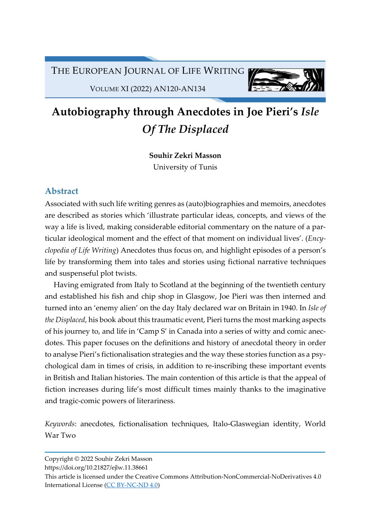THE EUROPEAN JOURNAL OF LIFE WRITING

VOLUME XI (2022) AN120-AN134



# Autobiography through Anecdotes in Joe Pieri's Isle Of The Displaced

Souhir Zekri Masson University of Tunis

## Abstract

Associated with such life writing genres as (auto)biographies and memoirs, anecdotes are described as stories which 'illustrate particular ideas, concepts, and views of the way a life is lived, making considerable editorial commentary on the nature of a particular ideological moment and the effect of that moment on individual lives'. (Encyclopedia of Life Writing) Anecdotes thus focus on, and highlight episodes of a person's life by transforming them into tales and stories using fictional narrative techniques and suspenseful plot twists.

Having emigrated from Italy to Scotland at the beginning of the twentieth century and established his fish and chip shop in Glasgow, Joe Pieri was then interned and turned into an 'enemy alien' on the day Italy declared war on Britain in 1940. In Isle of the Displaced, his book about this traumatic event, Pieri turns the most marking aspects of his journey to, and life in 'Camp S' in Canada into a series of witty and comic anecdotes. This paper focuses on the definitions and history of anecdotal theory in order to analyse Pieri's fictionalisation strategies and the way these stories function as a psychological dam in times of crisis, in addition to re-inscribing these important events in British and Italian histories. The main contention of this article is that the appeal of fiction increases during life's most difficult times mainly thanks to the imaginative and tragic-comic powers of literariness.

Keywords: anecdotes, fictionalisation techniques, Italo-Glaswegian identity, World War Two

https://doi.org/10.21827/ejlw.11.38661

Copyright © 2022 Souhir Zekri Masson

This article is licensed under the Creative Commons Attribution-NonCommercial-NoDerivatives 4.0 International License (CC BY-NC-ND 4.0)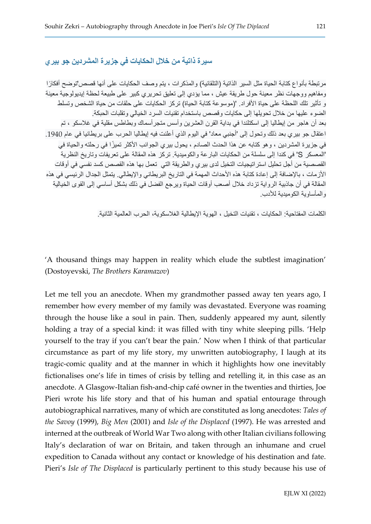#### سيرة ذاتية من خلال الحكايات في جزيرة المشردين جو بيري

مرتبطة بأنواع كتابة الحياة مثل السير الذاتية (التلقائية) والمذكرات ، يتم وصف الحكايات على أنها قصص'توضح أفكارًا ومفاهيم ووجهات نظر معينة حول طريقة عيش ، مما يؤدي إلى تعليق تحريري كبير على طبيعة لحظة إيديولوجية معينة و تأثير تلك اللحظة على حياة الأفراد. '(موسوعة كتابة الحياة) تركز الحكايات على حلقات من حياة الشخص وتسلط الضوء عليها من خلال تحويلها إلى حكايات وقصص باستخدام تقنيات السرد الخيالي وتقلبات الحبكة. بعد أن هاجر من إيطاليا إلى اسكتلندا في بداية القرن العشرين وأسس متجرأسماك وبطاطس مقلية في غلاسكو ، تم اعتقال جو بيري بعد ذلك وتحول إلى 'أجنبي معاد' في اليوم الذي أعلنت فيه إيطاليا الحرب على بريطانيا في عام .1940 في جزيرة المشردين ، وهو كتابه عن هذا الحدث الصادم ، يحول بيري الجوانب الأكثر تمي ًزا في رحلته والحياة في 'المعسكر S 'في كندا إلى سلسلة من الحكايات البارعة والكوميدية. تركز هذه المقالة على تعريفات وتاريخ النظرية القصصية من أجل تحليل استراتيجيات التخيل لدى بيري والطريقة التي تعمل بها هذه القصص كسد نفسي في أوقات الأزمات ، بالإضافة إلى إعادة كتابة هذه الأحداث المهمة في التاريخ البريطاني والإيطالي. يتمثل الجدال الرئيسي في هذه المقالة في أن جاذبية الرواية تزداد خلال أصعب أوقات الحياة ويرجع الفضل في ذلك بشكل أساسي إلى القوى الخيالية والمأساوية الكوميدية للأدب.

الكلمات المفتاحية: الحكايات ، تقنيات التخيل ، الهوية الإيطالية الغلاسكوية، الحرب العالمية الثانية.

'A thousand things may happen in reality which elude the subtlest imagination' (Dostoyevski, The Brothers Karamazov)

Let me tell you an anecdote. When my grandmother passed away ten years ago, I remember how every member of my family was devastated. Everyone was roaming through the house like a soul in pain. Then, suddenly appeared my aunt, silently holding a tray of a special kind: it was filled with tiny white sleeping pills. 'Help yourself to the tray if you can't bear the pain.' Now when I think of that particular circumstance as part of my life story, my unwritten autobiography, I laugh at its tragic-comic quality and at the manner in which it highlights how one inevitably fictionalises one's life in times of crisis by telling and retelling it, in this case as an anecdote. A Glasgow-Italian fish-and-chip café owner in the twenties and thirties, Joe Pieri wrote his life story and that of his human and spatial entourage through autobiographical narratives, many of which are constituted as long anecdotes: Tales of the Savoy (1999), Big Men (2001) and Isle of the Displaced (1997). He was arrested and interned at the outbreak of World War Two along with other Italian civilians following Italy's declaration of war on Britain, and taken through an inhumane and cruel expedition to Canada without any contact or knowledge of his destination and fate. Pieri's Isle of The Displaced is particularly pertinent to this study because his use of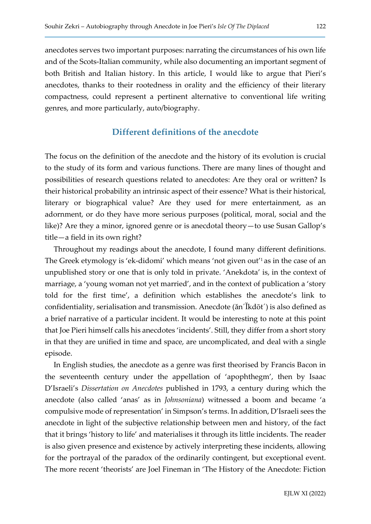anecdotes serves two important purposes: narrating the circumstances of his own life and of the Scots-Italian community, while also documenting an important segment of both British and Italian history. In this article, I would like to argue that Pieri's anecdotes, thanks to their rootedness in orality and the efficiency of their literary compactness, could represent a pertinent alternative to conventional life writing genres, and more particularly, auto/biography.

#### Different definitions of the anecdote

The focus on the definition of the anecdote and the history of its evolution is crucial to the study of its form and various functions. There are many lines of thought and possibilities of research questions related to anecdotes: Are they oral or written? Is their historical probability an intrinsic aspect of their essence? What is their historical, literary or biographical value? Are they used for mere entertainment, as an adornment, or do they have more serious purposes (political, moral, social and the like)? Are they a minor, ignored genre or is anecdotal theory—to use Susan Gallop's title—a field in its own right?

Throughout my readings about the anecdote, I found many different definitions. The Greek etymology is 'ek-didomi' which means 'not given out'<sup>1</sup> as in the case of an unpublished story or one that is only told in private. 'Anekdota' is, in the context of marriage, a 'young woman not yet married', and in the context of publication a 'story told for the first time', a definition which establishes the anecdote's link to confidentiality, serialisation and transmission. Anecdote (ăn´Ĭkdōt´) is also defined as a brief narrative of a particular incident. It would be interesting to note at this point that Joe Pieri himself calls his anecdotes 'incidents'. Still, they differ from a short story in that they are unified in time and space, are uncomplicated, and deal with a single episode.

In English studies, the anecdote as a genre was first theorised by Francis Bacon in the seventeenth century under the appellation of 'apophthegm', then by Isaac D'Israeli's Dissertation on Anecdotes published in 1793, a century during which the anecdote (also called 'anas' as in Johnsoniana) witnessed a boom and became 'a compulsive mode of representation' in Simpson's terms. In addition, D'Israeli sees the anecdote in light of the subjective relationship between men and history, of the fact that it brings 'history to life' and materialises it through its little incidents. The reader is also given presence and existence by actively interpreting these incidents, allowing for the portrayal of the paradox of the ordinarily contingent, but exceptional event. The more recent 'theorists' are Joel Fineman in 'The History of the Anecdote: Fiction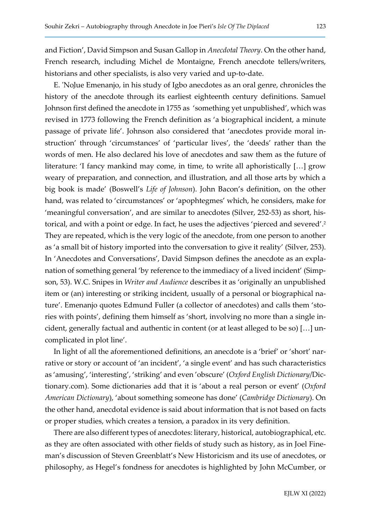and Fiction', David Simpson and Susan Gallop in Anecdotal Theory. On the other hand, French research, including Michel de Montaigne, French anecdote tellers/writers, historians and other specialists, is also very varied and up-to-date.

E. 'No̧lue Emenanjo, in his study of Igbo anecdotes as an oral genre, chronicles the history of the anecdote through its earliest eighteenth century definitions. Samuel Johnson first defined the anecdote in 1755 as 'something yet unpublished', which was revised in 1773 following the French definition as 'a biographical incident, a minute passage of private life'. Johnson also considered that 'anecdotes provide moral instruction' through 'circumstances' of 'particular lives', the 'deeds' rather than the words of men. He also declared his love of anecdotes and saw them as the future of literature: 'I fancy mankind may come, in time, to write all aphoristically […] grow weary of preparation, and connection, and illustration, and all those arts by which a big book is made' (Boswell's Life of Johnson). John Bacon's definition, on the other hand, was related to 'circumstances' or 'apophtegmes' which, he considers, make for 'meaningful conversation', and are similar to anecdotes (Silver, 252-53) as short, historical, and with a point or edge. In fact, he uses the adjectives 'pierced and severed'.<sup>2</sup> They are repeated, which is the very logic of the anecdote, from one person to another as 'a small bit of history imported into the conversation to give it reality' (Silver, 253). In 'Anecdotes and Conversations', David Simpson defines the anecdote as an explanation of something general 'by reference to the immediacy of a lived incident' (Simpson, 53). W.C. Snipes in Writer and Audience describes it as 'originally an unpublished item or (an) interesting or striking incident, usually of a personal or biographical nature'. Emenanjo quotes Edmund Fuller (a collector of anecdotes) and calls them 'stories with points', defining them himself as 'short, involving no more than a single incident, generally factual and authentic in content (or at least alleged to be so) […] uncomplicated in plot line'.

In light of all the aforementioned definitions, an anecdote is a 'brief' or 'short' narrative or story or account of 'an incident', 'a single event' and has such characteristics as 'amusing', 'interesting', 'striking' and even 'obscure' (Oxford English Dictionary/Dictionary.com). Some dictionaries add that it is 'about a real person or event' (Oxford American Dictionary), 'about something someone has done' (Cambridge Dictionary). On the other hand, anecdotal evidence is said about information that is not based on facts or proper studies, which creates a tension, a paradox in its very definition.

There are also different types of anecdotes: literary, historical, autobiographical, etc. as they are often associated with other fields of study such as history, as in Joel Fineman's discussion of Steven Greenblatt's New Historicism and its use of anecdotes, or philosophy, as Hegel's fondness for anecdotes is highlighted by John McCumber, or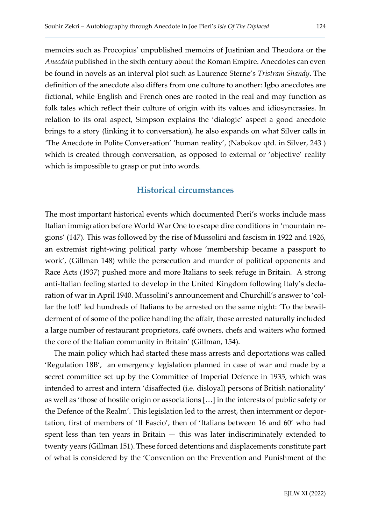memoirs such as Procopius' unpublished memoirs of Justinian and Theodora or the Anecdota published in the sixth century about the Roman Empire. Anecdotes can even be found in novels as an interval plot such as Laurence Sterne's Tristram Shandy. The definition of the anecdote also differs from one culture to another: Igbo anecdotes are fictional, while English and French ones are rooted in the real and may function as folk tales which reflect their culture of origin with its values and idiosyncrasies. In relation to its oral aspect, Simpson explains the 'dialogic' aspect a good anecdote brings to a story (linking it to conversation), he also expands on what Silver calls in 'The Anecdote in Polite Conversation' 'human reality', (Nabokov qtd. in Silver, 243 ) which is created through conversation, as opposed to external or 'objective' reality which is impossible to grasp or put into words.

#### Historical circumstances

The most important historical events which documented Pieri's works include mass Italian immigration before World War One to escape dire conditions in 'mountain regions' (147). This was followed by the rise of Mussolini and fascism in 1922 and 1926, an extremist right-wing political party whose 'membership became a passport to work', (Gillman 148) while the persecution and murder of political opponents and Race Acts (1937) pushed more and more Italians to seek refuge in Britain. A strong anti-Italian feeling started to develop in the United Kingdom following Italy's declaration of war in April 1940. Mussolini's announcement and Churchill's answer to 'collar the lot!' led hundreds of Italians to be arrested on the same night: 'To the bewilderment of of some of the police handling the affair, those arrested naturally included a large number of restaurant proprietors, café owners, chefs and waiters who formed the core of the Italian community in Britain' (Gillman, 154).

The main policy which had started these mass arrests and deportations was called 'Regulation 18B', an emergency legislation planned in case of war and made by a secret committee set up by the Committee of Imperial Defence in 1935, which was intended to arrest and intern 'disaffected (i.e. disloyal) persons of British nationality' as well as 'those of hostile origin or associations […] in the interests of public safety or the Defence of the Realm'. This legislation led to the arrest, then internment or deportation, first of members of 'Il Fascio', then of 'Italians between 16 and 60' who had spent less than ten years in Britain — this was later indiscriminately extended to twenty years (Gillman 151). These forced detentions and displacements constitute part of what is considered by the 'Convention on the Prevention and Punishment of the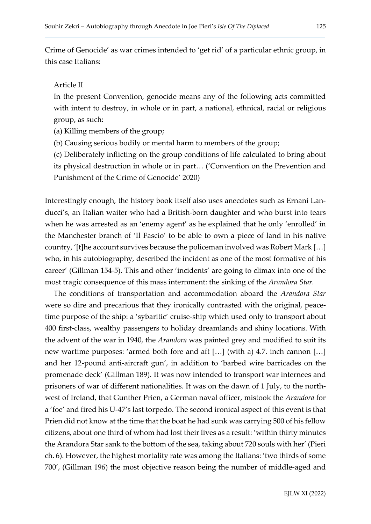Crime of Genocide' as war crimes intended to 'get rid' of a particular ethnic group, in this case Italians:

#### Article II

In the present Convention, genocide means any of the following acts committed with intent to destroy, in whole or in part, a national, ethnical, racial or religious group, as such:

(a) Killing members of the group;

(b) Causing serious bodily or mental harm to members of the group;

(c) Deliberately inflicting on the group conditions of life calculated to bring about its physical destruction in whole or in part… ('Convention on the Prevention and Punishment of the Crime of Genocide' 2020)

Interestingly enough, the history book itself also uses anecdotes such as Ernani Landucci's, an Italian waiter who had a British-born daughter and who burst into tears when he was arrested as an 'enemy agent' as he explained that he only 'enrolled' in the Manchester branch of 'Il Fascio' to be able to own a piece of land in his native country, '[t]he account survives because the policeman involved was Robert Mark […] who, in his autobiography, described the incident as one of the most formative of his career' (Gillman 154-5). This and other 'incidents' are going to climax into one of the most tragic consequence of this mass internment: the sinking of the Arandora Star.

The conditions of transportation and accommodation aboard the Arandora Star were so dire and precarious that they ironically contrasted with the original, peacetime purpose of the ship: a 'sybaritic' cruise-ship which used only to transport about 400 first-class, wealthy passengers to holiday dreamlands and shiny locations. With the advent of the war in 1940, the Arandora was painted grey and modified to suit its new wartime purposes: 'armed both fore and aft […] (with a) 4.7. inch cannon […] and her 12-pound anti-aircraft gun', in addition to 'barbed wire barricades on the promenade deck' (Gillman 189). It was now intended to transport war internees and prisoners of war of different nationalities. It was on the dawn of 1 July, to the northwest of Ireland, that Gunther Prien, a German naval officer, mistook the Arandora for a 'foe' and fired his U-47's last torpedo. The second ironical aspect of this event is that Prien did not know at the time that the boat he had sunk was carrying 500 of his fellow citizens, about one third of whom had lost their lives as a result: 'within thirty minutes the Arandora Star sank to the bottom of the sea, taking about 720 souls with her' (Pieri ch. 6). However, the highest mortality rate was among the Italians: 'two thirds of some 700', (Gillman 196) the most objective reason being the number of middle-aged and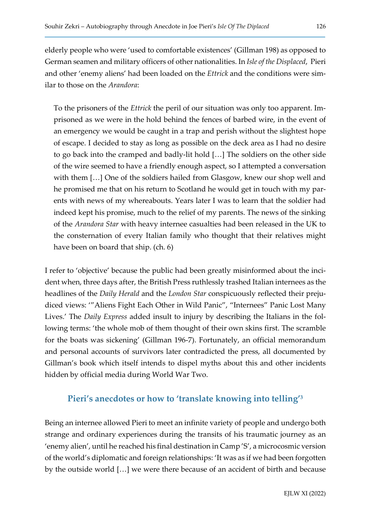ilar to those on the Arandora:

elderly people who were 'used to comfortable existences' (Gillman 198) as opposed to German seamen and military officers of other nationalities. In Isle of the Displaced, Pieri and other 'enemy aliens' had been loaded on the Ettrick and the conditions were sim-

To the prisoners of the Ettrick the peril of our situation was only too apparent. Imprisoned as we were in the hold behind the fences of barbed wire, in the event of an emergency we would be caught in a trap and perish without the slightest hope of escape. I decided to stay as long as possible on the deck area as I had no desire to go back into the cramped and badly-lit hold […] The soldiers on the other side of the wire seemed to have a friendly enough aspect, so I attempted a conversation with them [...] One of the soldiers hailed from Glasgow, knew our shop well and he promised me that on his return to Scotland he would get in touch with my parents with news of my whereabouts. Years later I was to learn that the soldier had indeed kept his promise, much to the relief of my parents. The news of the sinking of the Arandora Star with heavy internee casualties had been released in the UK to the consternation of every Italian family who thought that their relatives might have been on board that ship. (ch. 6)

I refer to 'objective' because the public had been greatly misinformed about the incident when, three days after, the British Press ruthlessly trashed Italian internees as the headlines of the Daily Herald and the London Star conspicuously reflected their prejudiced views: '"Aliens Fight Each Other in Wild Panic", "Internees" Panic Lost Many Lives.' The Daily Express added insult to injury by describing the Italians in the following terms: 'the whole mob of them thought of their own skins first. The scramble for the boats was sickening' (Gillman 196-7). Fortunately, an official memorandum and personal accounts of survivors later contradicted the press, all documented by Gillman's book which itself intends to dispel myths about this and other incidents hidden by official media during World War Two.

#### Pieri's anecdotes or how to 'translate knowing into telling'<sup>3</sup>

Being an internee allowed Pieri to meet an infinite variety of people and undergo both strange and ordinary experiences during the transits of his traumatic journey as an 'enemy alien', until he reached his final destination in Camp 'S', a microcosmic version of the world's diplomatic and foreign relationships: 'It was as if we had been forgotten by the outside world […] we were there because of an accident of birth and because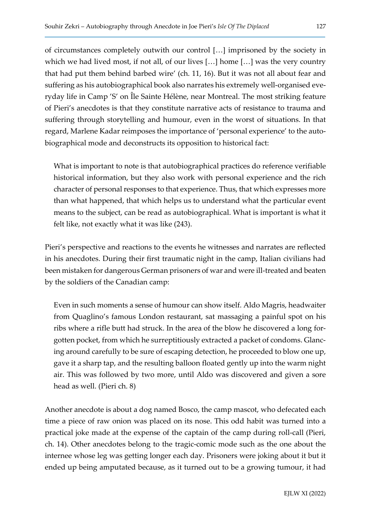of circumstances completely outwith our control […] imprisoned by the society in which we had lived most, if not all, of our lives […] home […] was the very country that had put them behind barbed wire' (ch. 11, 16). But it was not all about fear and suffering as his autobiographical book also narrates his extremely well-organised everyday life in Camp 'S' on Île Sainte Hélène, near Montreal. The most striking feature of Pieri's anecdotes is that they constitute narrative acts of resistance to trauma and suffering through storytelling and humour, even in the worst of situations. In that regard, Marlene Kadar reimposes the importance of 'personal experience' to the autobiographical mode and deconstructs its opposition to historical fact:

What is important to note is that autobiographical practices do reference verifiable historical information, but they also work with personal experience and the rich character of personal responses to that experience. Thus, that which expresses more than what happened, that which helps us to understand what the particular event means to the subject, can be read as autobiographical. What is important is what it felt like, not exactly what it was like (243).

Pieri's perspective and reactions to the events he witnesses and narrates are reflected in his anecdotes. During their first traumatic night in the camp, Italian civilians had been mistaken for dangerous German prisoners of war and were ill-treated and beaten by the soldiers of the Canadian camp:

Even in such moments a sense of humour can show itself. Aldo Magris, headwaiter from Quaglino's famous London restaurant, sat massaging a painful spot on his ribs where a rifle butt had struck. In the area of the blow he discovered a long forgotten pocket, from which he surreptitiously extracted a packet of condoms. Glancing around carefully to be sure of escaping detection, he proceeded to blow one up, gave it a sharp tap, and the resulting balloon floated gently up into the warm night air. This was followed by two more, until Aldo was discovered and given a sore head as well. (Pieri ch. 8)

Another anecdote is about a dog named Bosco, the camp mascot, who defecated each time a piece of raw onion was placed on its nose. This odd habit was turned into a practical joke made at the expense of the captain of the camp during roll-call (Pieri, ch. 14). Other anecdotes belong to the tragic-comic mode such as the one about the internee whose leg was getting longer each day. Prisoners were joking about it but it ended up being amputated because, as it turned out to be a growing tumour, it had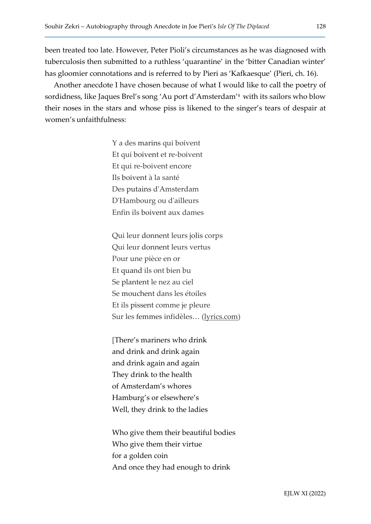been treated too late. However, Peter Pioli's circumstances as he was diagnosed with tuberculosis then submitted to a ruthless 'quarantine' in the 'bitter Canadian winter' has gloomier connotations and is referred to by Pieri as 'Kafkaesque' (Pieri, ch. 16).

Another anecdote I have chosen because of what I would like to call the poetry of sordidness, like Jaques Brel's song 'Au port d'Amsterdam'4 with its sailors who blow their noses in the stars and whose piss is likened to the singer's tears of despair at women's unfaithfulness:

> Y a des marins qui boivent Et qui boivent et re-boivent Et qui re-boivent encore Ils boivent à la santé Des putains d'Amsterdam D'Hambourg ou d'ailleurs Enfin ils boivent aux dames

Qui leur donnent leurs jolis corps Qui leur donnent leurs vertus Pour une pièce en or Et quand ils ont bien bu Se plantent le nez au ciel Se mouchent dans les étoiles Et ils pissent comme je pleure Sur les femmes infidèles… (lyrics.com)

[There's mariners who drink and drink and drink again and drink again and again They drink to the health of Amsterdam's whores Hamburg's or elsewhere's Well, they drink to the ladies

Who give them their beautiful bodies Who give them their virtue for a golden coin And once they had enough to drink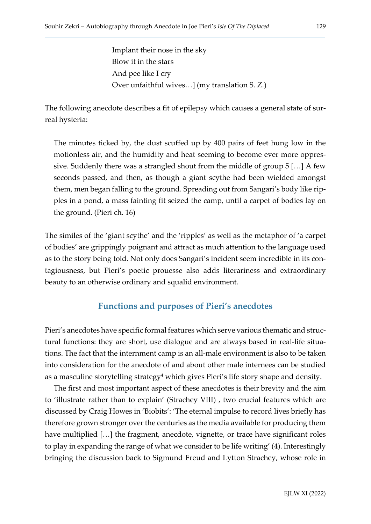Implant their nose in the sky Blow it in the stars And pee like I cry Over unfaithful wives…] (my translation S. Z.)

The following anecdote describes a fit of epilepsy which causes a general state of surreal hysteria:

The minutes ticked by, the dust scuffed up by 400 pairs of feet hung low in the motionless air, and the humidity and heat seeming to become ever more oppressive. Suddenly there was a strangled shout from the middle of group 5 […] A few seconds passed, and then, as though a giant scythe had been wielded amongst them, men began falling to the ground. Spreading out from Sangari's body like ripples in a pond, a mass fainting fit seized the camp, until a carpet of bodies lay on the ground. (Pieri ch. 16)

The similes of the 'giant scythe' and the 'ripples' as well as the metaphor of 'a carpet of bodies' are grippingly poignant and attract as much attention to the language used as to the story being told. Not only does Sangari's incident seem incredible in its contagiousness, but Pieri's poetic prouesse also adds literariness and extraordinary beauty to an otherwise ordinary and squalid environment.

#### Functions and purposes of Pieri's anecdotes

Pieri's anecdotes have specific formal features which serve various thematic and structural functions: they are short, use dialogue and are always based in real-life situations. The fact that the internment camp is an all-male environment is also to be taken into consideration for the anecdote of and about other male internees can be studied as a masculine storytelling strategy<sup>4</sup> which gives Pieri's life story shape and density.

The first and most important aspect of these anecdotes is their brevity and the aim to 'illustrate rather than to explain' (Strachey VIII) , two crucial features which are discussed by Craig Howes in 'Biobits': 'The eternal impulse to record lives briefly has therefore grown stronger over the centuries as the media available for producing them have multiplied [...] the fragment, anecdote, vignette, or trace have significant roles to play in expanding the range of what we consider to be life writing' (4). Interestingly bringing the discussion back to Sigmund Freud and Lytton Strachey, whose role in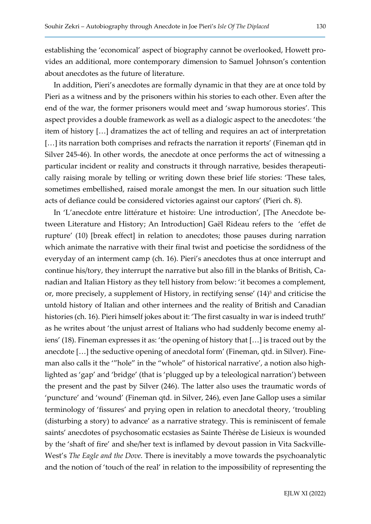establishing the 'economical' aspect of biography cannot be overlooked, Howett provides an additional, more contemporary dimension to Samuel Johnson's contention about anecdotes as the future of literature.

In addition, Pieri's anecdotes are formally dynamic in that they are at once told by Pieri as a witness and by the prisoners within his stories to each other. Even after the end of the war, the former prisoners would meet and 'swap humorous stories'. This aspect provides a double framework as well as a dialogic aspect to the anecdotes: 'the item of history […] dramatizes the act of telling and requires an act of interpretation [...] its narration both comprises and refracts the narration it reports' (Fineman qtd in Silver 245-46). In other words, the anecdote at once performs the act of witnessing a particular incident or reality and constructs it through narrative, besides therapeutically raising morale by telling or writing down these brief life stories: 'These tales, sometimes embellished, raised morale amongst the men. In our situation such little acts of defiance could be considered victories against our captors' (Pieri ch. 8).

In 'L'anecdote entre littérature et histoire: Une introduction', [The Anecdote between Literature and History; An Introduction] Gaël Rideau refers to the 'effet de rupture' (10) [break effect] in relation to anecdotes; those pauses during narration which animate the narrative with their final twist and poeticise the sordidness of the everyday of an interment camp (ch. 16). Pieri's anecdotes thus at once interrupt and continue his/tory, they interrupt the narrative but also fill in the blanks of British, Canadian and Italian History as they tell history from below: 'it becomes a complement, or, more precisely, a supplement of History, in rectifying sense' (14)<sup>5</sup> and criticise the untold history of Italian and other internees and the reality of British and Canadian histories (ch. 16). Pieri himself jokes about it: 'The first casualty in war is indeed truth!' as he writes about 'the unjust arrest of Italians who had suddenly become enemy aliens' (18). Fineman expresses it as: 'the opening of history that […] is traced out by the anecdote […] the seductive opening of anecdotal form' (Fineman, qtd. in Silver). Fineman also calls it the '"hole" in the "whole" of historical narrative', a notion also highlighted as 'gap' and 'bridge' (that is 'plugged up by a teleological narration') between the present and the past by Silver (246). The latter also uses the traumatic words of 'puncture' and 'wound' (Fineman qtd. in Silver, 246), even Jane Gallop uses a similar terminology of 'fissures' and prying open in relation to anecdotal theory, 'troubling (disturbing a story) to advance' as a narrative strategy. This is reminiscent of female saints' anecdotes of psychosomatic ecstasies as Sainte Thérèse de Lisieux is wounded by the 'shaft of fire' and she/her text is inflamed by devout passion in Vita Sackville-West's The Eagle and the Dove. There is inevitably a move towards the psychoanalytic and the notion of 'touch of the real' in relation to the impossibility of representing the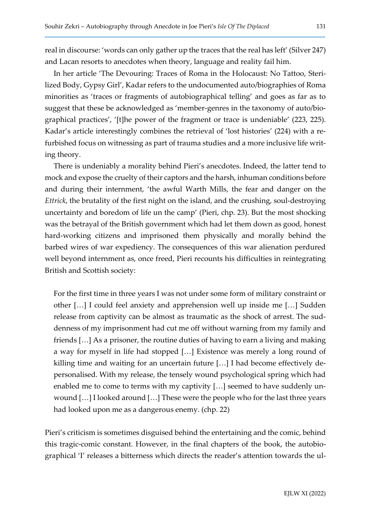real in discourse: 'words can only gather up the traces that the real has left' (Silver 247) and Lacan resorts to anecdotes when theory, language and reality fail him.

In her article 'The Devouring: Traces of Roma in the Holocaust: No Tattoo, Sterilized Body, Gypsy Girl', Kadar refers to the undocumented auto/biographies of Roma minorities as 'traces or fragments of autobiographical telling' and goes as far as to suggest that these be acknowledged as 'member-genres in the taxonomy of auto/biographical practices', '[t]he power of the fragment or trace is undeniable' (223, 225). Kadar's article interestingly combines the retrieval of 'lost histories' (224) with a refurbished focus on witnessing as part of trauma studies and a more inclusive life writing theory.

There is undeniably a morality behind Pieri's anecdotes. Indeed, the latter tend to mock and expose the cruelty of their captors and the harsh, inhuman conditions before and during their internment, 'the awful Warth Mills, the fear and danger on the Ettrick, the brutality of the first night on the island, and the crushing, soul-destroying uncertainty and boredom of life un the camp' (Pieri, chp. 23). But the most shocking was the betrayal of the British government which had let them down as good, honest hard-working citizens and imprisoned them physically and morally behind the barbed wires of war expediency. The consequences of this war alienation perdured well beyond internment as, once freed, Pieri recounts his difficulties in reintegrating British and Scottish society:

For the first time in three years I was not under some form of military constraint or other […] I could feel anxiety and apprehension well up inside me […] Sudden release from captivity can be almost as traumatic as the shock of arrest. The suddenness of my imprisonment had cut me off without warning from my family and friends […] As a prisoner, the routine duties of having to earn a living and making a way for myself in life had stopped […] Existence was merely a long round of killing time and waiting for an uncertain future […] I had become effectively depersonalised. With my release, the tensely wound psychological spring which had enabled me to come to terms with my captivity […] seemed to have suddenly unwound […] I looked around […] These were the people who for the last three years had looked upon me as a dangerous enemy. (chp. 22)

Pieri's criticism is sometimes disguised behind the entertaining and the comic, behind this tragic-comic constant. However, in the final chapters of the book, the autobiographical 'I' releases a bitterness which directs the reader's attention towards the ul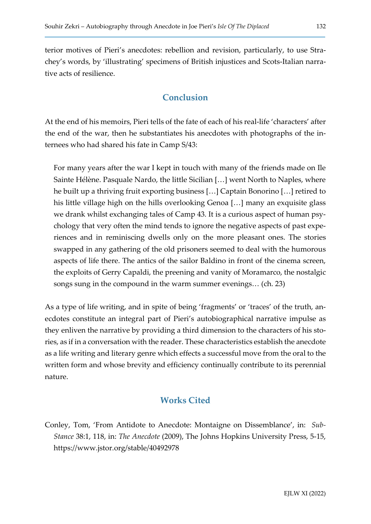terior motives of Pieri's anecdotes: rebellion and revision, particularly, to use Strachey's words, by 'illustrating' specimens of British injustices and Scots-Italian narrative acts of resilience.

#### Conclusion

At the end of his memoirs, Pieri tells of the fate of each of his real-life 'characters' after the end of the war, then he substantiates his anecdotes with photographs of the internees who had shared his fate in Camp S/43:

For many years after the war I kept in touch with many of the friends made on Ile Sainte Hélène. Pasquale Nardo, the little Sicilian […] went North to Naples, where he built up a thriving fruit exporting business […] Captain Bonorino […] retired to his little village high on the hills overlooking Genoa […] many an exquisite glass we drank whilst exchanging tales of Camp 43. It is a curious aspect of human psychology that very often the mind tends to ignore the negative aspects of past experiences and in reminiscing dwells only on the more pleasant ones. The stories swapped in any gathering of the old prisoners seemed to deal with the humorous aspects of life there. The antics of the sailor Baldino in front of the cinema screen, the exploits of Gerry Capaldi, the preening and vanity of Moramarco, the nostalgic songs sung in the compound in the warm summer evenings… (ch. 23)

As a type of life writing, and in spite of being 'fragments' or 'traces' of the truth, anecdotes constitute an integral part of Pieri's autobiographical narrative impulse as they enliven the narrative by providing a third dimension to the characters of his stories, as if in a conversation with the reader. These characteristics establish the anecdote as a life writing and literary genre which effects a successful move from the oral to the written form and whose brevity and efficiency continually contribute to its perennial nature.

### Works Cited

Conley, Tom, 'From Antidote to Anecdote: Montaigne on Dissemblance', in: Sub-Stance 38:1, 118, in: The Anecdote (2009), The Johns Hopkins University Press, 5-15, https://www.jstor.org/stable/40492978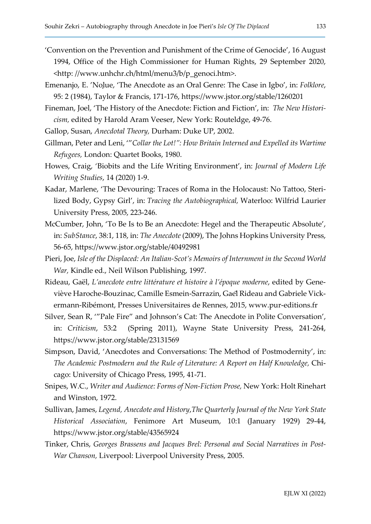- 'Convention on the Prevention and Punishment of the Crime of Genocide', 16 August 1994, Office of the High Commissioner for Human Rights, 29 September 2020, <http: //www.unhchr.ch/html/menu3/b/p\_genoci.htm>.
- Emenanjo, E. 'No̧lue, 'The Anecdote as an Oral Genre: The Case in Igbo', in: Folklore, 95: 2 (1984), Taylor & Francis, 171-176, https://www.jstor.org/stable/1260201
- Fineman, Joel, 'The History of the Anecdote: Fiction and Fiction', in: The New Historicism, edited by Harold Aram Veeser, New York: Routeldge, 49-76.
- Gallop, Susan, Anecdotal Theory, Durham: Duke UP, 2002.
- Gillman, Peter and Leni, '"Collar the Lot!": How Britain Interned and Expelled its Wartime Refugees, London: Quartet Books, 1980.
- Howes, Craig, 'Biobits and the Life Writing Environment', in: Journal of Modern Life Writing Studies, 14 (2020) 1-9.
- Kadar, Marlene, 'The Devouring: Traces of Roma in the Holocaust: No Tattoo, Sterilized Body, Gypsy Girl', in: Tracing the Autobiographical, Waterloo: Wilfrid Laurier University Press, 2005, 223-246.
- McCumber, John, 'To Be Is to Be an Anecdote: Hegel and the Therapeutic Absolute', in: SubStance, 38:1, 118, in: The Anecdote (2009), The Johns Hopkins University Press, 56-65, https://www.jstor.org/stable/40492981
- Pieri, Joe, Isle of the Displaced: An Italian-Scot's Memoirs of Internment in the Second World War, Kindle ed., Neil Wilson Publishing, 1997.
- Rideau, Gaël, L'anecdote entre littérature et histoire à l'époque moderne, edited by Geneviève Haroche-Bouzinac, Camille Esmein-Sarrazin, Gaël Rideau and Gabriele Vickermann-Ribémont, Presses Universitaires de Rennes, 2015, www.pur-editions.fr
- Silver, Sean R, '"Pale Fire" and Johnson's Cat: The Anecdote in Polite Conversation', in: Criticism, 53:2 (Spring 2011), Wayne State University Press, 241-264, https://www.jstor.org/stable/23131569
- Simpson, David, 'Anecdotes and Conversations: The Method of Postmodernity', in: The Academic Postmodern and the Rule of Literature: A Report on Half Knowledge, Chicago: University of Chicago Press, 1995, 41-71.
- Snipes, W.C., Writer and Audience: Forms of Non-Fiction Prose, New York: Holt Rinehart and Winston, 1972.
- Sullivan, James, Legend, Anecdote and History,The Quarterly Journal of the New York State Historical Association, Fenimore Art Museum, 10:1 (January 1929) 29-44, https://www.jstor.org/stable/43565924
- Tinker, Chris, Georges Brassens and Jacques Brel: Personal and Social Narratives in Post-War Chanson, Liverpool: Liverpool University Press, 2005.